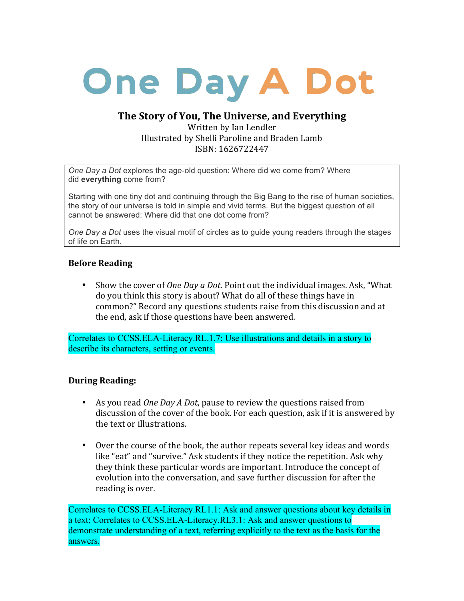# **One Day A Dot**

# The Story of You, The Universe, and Everything

Written by Ian Lendler Illustrated by Shelli Paroline and Braden Lamb ISBN: 1626722447

*One Day a Dot* explores the age-old question: Where did we come from? Where did **everything** come from?

Starting with one tiny dot and continuing through the Big Bang to the rise of human societies, the story of our universe is told in simple and vivid terms. But the biggest question of all cannot be answered: Where did that one dot come from?

*One Day a Dot* uses the visual motif of circles as to guide young readers through the stages of life on Earth.

#### **Before Reading**

• Show the cover of *One Day a Dot*. Point out the individual images. Ask, "What do you think this story is about? What do all of these things have in common?" Record any questions students raise from this discussion and at the end, ask if those questions have been answered.

Correlates to CCSS.ELA-Literacy.RL.1.7: Use illustrations and details in a story to describe its characters, setting or events.

#### **During Reading:**

- As you read *One Day A Dot*, pause to review the questions raised from discussion of the cover of the book. For each question, ask if it is answered by the text or illustrations.
- Over the course of the book, the author repeats several key ideas and words like "eat" and "survive." Ask students if they notice the repetition. Ask why they think these particular words are important. Introduce the concept of evolution into the conversation, and save further discussion for after the reading is over.

Correlates to CCSS.ELA-Literacy.RL1.1: Ask and answer questions about key details in a text; Correlates to CCSS.ELA-Literacy.RL3.1: Ask and answer questions to demonstrate understanding of a text, referring explicitly to the text as the basis for the answers.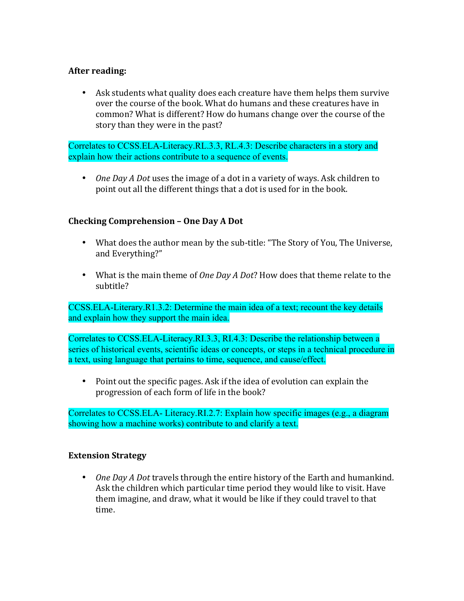### **After reading:**

• Ask students what quality does each creature have them helps them survive over the course of the book. What do humans and these creatures have in common? What is different? How do humans change over the course of the story than they were in the past?

Correlates to CCSS.ELA-Literacy.RL.3.3, RL.4.3: Describe characters in a story and explain how their actions contribute to a sequence of events.

• *One Day A Dot* uses the image of a dot in a variety of ways. Ask children to point out all the different things that a dot is used for in the book.

## **Checking Comprehension - One Day A Dot**

- What does the author mean by the sub-title: "The Story of You, The Universe, and Everything?"
- What is the main theme of *One Day A Dot*? How does that theme relate to the subtitle?

CCSS.ELA-Literary.R1.3.2: Determine the main idea of a text; recount the key details and explain how they support the main idea.

Correlates to CCSS.ELA-Literacy.RI.3.3, RI.4.3: Describe the relationship between a series of historical events, scientific ideas or concepts, or steps in a technical procedure in a text, using language that pertains to time, sequence, and cause/effect.

• Point out the specific pages. Ask if the idea of evolution can explain the progression of each form of life in the book?

Correlates to CCSS.ELA- Literacy.RI.2.7: Explain how specific images (e.g., a diagram showing how a machine works) contribute to and clarify a text.

#### **Extension Strategy**

• *One Day A Dot* travels through the entire history of the Earth and humankind. Ask the children which particular time period they would like to visit. Have them imagine, and draw, what it would be like if they could travel to that time.